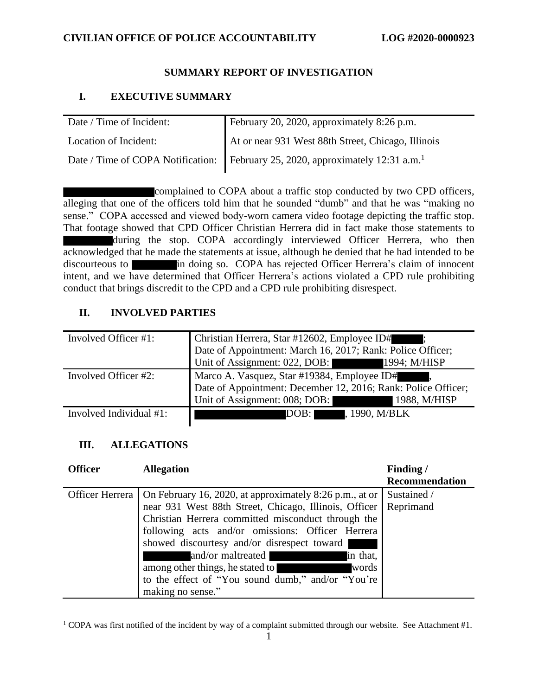## **SUMMARY REPORT OF INVESTIGATION**

## **I. EXECUTIVE SUMMARY**

| Date / Time of Incident: | February 20, 2020, approximately 8:26 p.m.                                                 |
|--------------------------|--------------------------------------------------------------------------------------------|
| Location of Incident:    | At or near 931 West 88th Street, Chicago, Illinois                                         |
|                          | Date / Time of COPA Notification: February 25, 2020, approximately 12:31 a.m. <sup>1</sup> |

complained to COPA about a traffic stop conducted by two CPD officers, alleging that one of the officers told him that he sounded "dumb" and that he was "making no sense." COPA accessed and viewed body-worn camera video footage depicting the traffic stop. That footage showed that CPD Officer Christian Herrera did in fact make those statements to during the stop. COPA accordingly interviewed Officer Herrera, who then acknowledged that he made the statements at issue, although he denied that he had intended to be discourteous to in doing so. COPA has rejected Officer Herrera's claim of innocent intent, and we have determined that Officer Herrera's actions violated a CPD rule prohibiting conduct that brings discredit to the CPD and a CPD rule prohibiting disrespect.

# **II. INVOLVED PARTIES**

| Involved Officer #1:    | Christian Herrera, Star #12602, Employee ID#                  |  |
|-------------------------|---------------------------------------------------------------|--|
|                         | Date of Appointment: March 16, 2017; Rank: Police Officer;    |  |
|                         | Unit of Assignment: 022, DOB: 1994; M/HISP                    |  |
| Involved Officer #2:    | Marco A. Vasquez, Star #19384, Employee ID#                   |  |
|                         | Date of Appointment: December 12, 2016; Rank: Police Officer; |  |
|                         | Unit of Assignment: 008; DOB:<br>1988, M/HISP                 |  |
| Involved Individual #1: | DOB:<br>, 1990, M/BLK                                         |  |

# **III. ALLEGATIONS**

| <b>Officer</b>  | <b>Allegation</b>                                       | Finding/              |
|-----------------|---------------------------------------------------------|-----------------------|
|                 |                                                         | <b>Recommendation</b> |
| Officer Herrera | On February 16, 2020, at approximately 8:26 p.m., at or | Sustained /           |
|                 | near 931 West 88th Street, Chicago, Illinois, Officer   | Reprimand             |
|                 | Christian Herrera committed misconduct through the      |                       |
|                 | following acts and/or omissions: Officer Herrera        |                       |
|                 | showed discourtesy and/or disrespect toward             |                       |
|                 | and/or maltreated<br>in that,                           |                       |
|                 | among other things, he stated to<br>words               |                       |
|                 | to the effect of "You sound dumb," and/or "You're       |                       |
|                 | making no sense."                                       |                       |

 $1$  COPA was first notified of the incident by way of a complaint submitted through our website. See Attachment #1.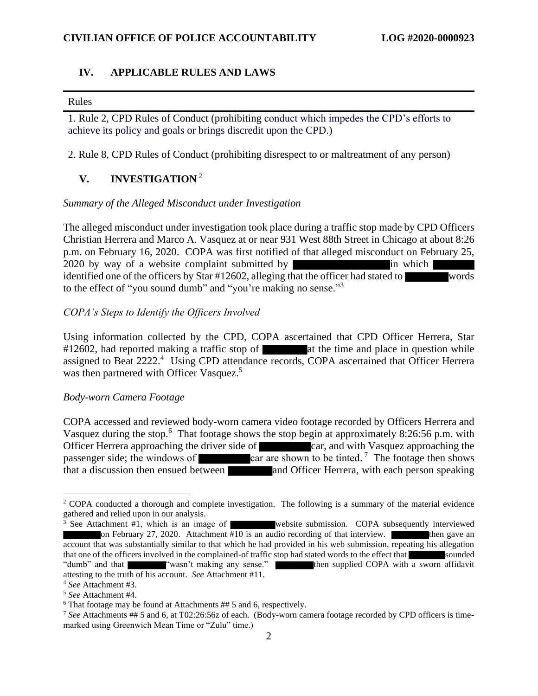### **IV. APPLICABLE RULES AND LAWS**

#### Rules

1. Rule 2, CPD Rules of Conduct (prohibiting conduct which impedes the CPD's efforts to achieve its policy and goals or brings discredit upon the CPD.)

2. Rule 8, CPD Rules of Conduct (prohibiting disrespect to or maltreatment of any person)

## **V. INVESTIGATION** <sup>2</sup>

#### *Summary of the Alleged Misconduct under Investigation*

The alleged misconduct under investigation took place during a traffic stop made by CPD Officers Christian Herrera and Marco A. Vasquez at or near 931 West 88th Street in Chicago at about 8:26 p.m. on February 16, 2020. COPA was first notified of that alleged misconduct on February 25, 2020 by way of a website complaint submitted by in which  $\ln$  which  $\ln$ identified one of the officers by Star #12602, alleging that the officer had stated to words to the effect of "you sound dumb" and "you're making no sense."<sup>3</sup>

#### *COPA's Steps to Identify the Officers Involved*

Using information collected by the CPD, COPA ascertained that CPD Officer Herrera, Star  $\#12602$ , had reported making a traffic stop of at the time and place in question while assigned to Beat 2222.<sup>4</sup> Using CPD attendance records, COPA ascertained that Officer Herrera was then partnered with Officer Vasquez.<sup>5</sup>

#### *Body-worn Camera Footage*

COPA accessed and reviewed body-worn camera video footage recorded by Officers Herrera and Vasquez during the stop.<sup>6</sup> That footage shows the stop begin at approximately 8:26:56 p.m. with Officer Herrera approaching the driver side of car, and with Vasquez approaching the passenger side; the windows of  $\qquad \qquad \text{car are shown to be tilted.}$ <sup>7</sup> The footage then shows  $\frac{1}{1}$  that a discussion then ensued between and Officer Herrera, with each person speaking

<sup>&</sup>lt;sup>2</sup> COPA conducted a thorough and complete investigation. The following is a summary of the material evidence gathered and relied upon in our analysis.

<sup>&</sup>lt;sup>3</sup> See Attachment #1, which is an image of website submission. COPA subsequently interviewed on February 27, 2020. Attachment #10 is an audio recording of that interview. on February 27, 2020. Attachment  $\overline{\#10}$  is an audio recording of that interview. account that was substantially similar to that which he had provided in his web submission, repeating his allegation that one of the officers involved in the complained-of traffic stop had stated words to the effect that sounded "dumb" and that "wasn't making any sense." Then supplied COPA with a sworn affidavit attesting to the truth of his account. *See* Attachment #11.

<sup>4</sup> *See* Attachment #3.

<sup>5</sup> *See* Attachment #4.

<sup>6</sup> That footage may be found at Attachments ## 5 and 6, respectively.

<sup>7</sup> *See* Attachments ## 5 and 6, at T02:26:56z of each. (Body-worn camera footage recorded by CPD officers is timemarked using Greenwich Mean Time or "Zulu" time.)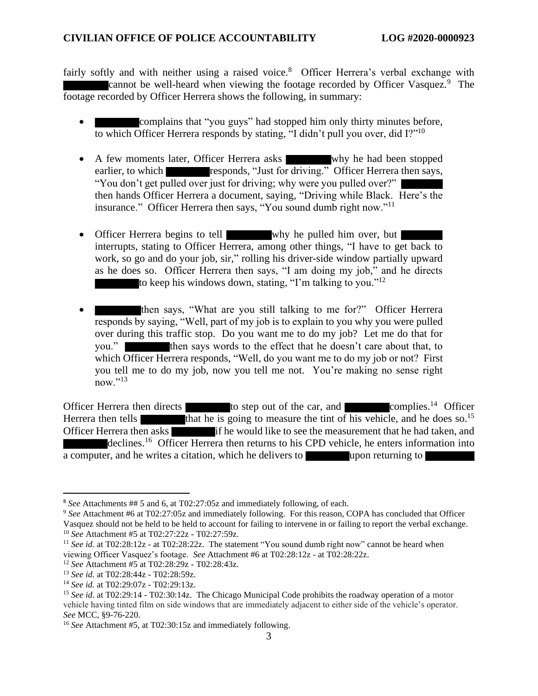fairly softly and with neither using a raised voice.<sup>8</sup> Officer Herrera's verbal exchange with cannot be well-heard when viewing the footage recorded by Officer Vasquez.<sup>9</sup> The footage recorded by Officer Herrera shows the following, in summary:

- complains that "you guys" had stopped him only thirty minutes before, to which Officer Herrera responds by stating, "I didn't pull you over, did I?"<sup>10</sup>
- A few moments later, Officer Herrera asks why he had been stopped earlier, to which responds, "Just for driving." Officer Herrera then says, "You don't get pulled over just for driving; why were you pulled over?" then hands Officer Herrera a document, saying, "Driving while Black. Here's the insurance." Officer Herrera then says, "You sound dumb right now."<sup>11</sup>
- Officer Herrera begins to tell why he pulled him over, but interrupts, stating to Officer Herrera, among other things, "I have to get back to work, so go and do your job, sir," rolling his driver-side window partially upward as he does so. Officer Herrera then says, "I am doing my job," and he directs to keep his windows down, stating, "I'm talking to you."<sup>12</sup>
- then says, "What are you still talking to me for?" Officer Herrera responds by saying, "Well, part of my job is to explain to you why you were pulled over during this traffic stop. Do you want me to do my job? Let me do that for you." then says words to the effect that he doesn't care about that, to which Officer Herrera responds, "Well, do you want me to do my job or not? First you tell me to do my job, now you tell me not. You're making no sense right now." $^{13}$

Officer Herrera then directs to step out of the car, and complies.<sup>14</sup> Officer Herrera then tells that he is going to measure the tint of his vehicle, and he does so.<sup>15</sup> Officer Herrera then asks if he would like to see the measurement that he had taken, and declines.<sup>16</sup> Officer Herrera then returns to his CPD vehicle, he enters information into a computer, and he writes a citation, which he delivers to upon returning to

<sup>8</sup> *See* Attachments ## 5 and 6, at T02:27:05z and immediately following, of each.

<sup>9</sup> *See* Attachment #6 at T02:27:05z and immediately following. For this reason, COPA has concluded that Officer Vasquez should not be held to be held to account for failing to intervene in or failing to report the verbal exchange. <sup>10</sup> *See* Attachment #5 at T02:27:22z - T02:27:59z.

<sup>&</sup>lt;sup>11</sup> See id. at T02:28:12z - at T02:28:22z. The statement "You sound dumb right now" cannot be heard when viewing Officer Vasquez's footage. *See* Attachment #6 at T02:28:12z - at T02:28:22z.

<sup>12</sup> *See* Attachment #5 at T02:28:29z - T02:28:43z.

<sup>13</sup> *See id.* at T02:28:44z - T02:28:59z.

<sup>14</sup> *See id.* at T02:29:07z - T02:29:13z.

<sup>&</sup>lt;sup>15</sup> See id. at T02:29:14 - T02:30:14z. The Chicago Municipal Code prohibits the roadway operation of a motor vehicle having tinted film on side windows that are immediately adjacent to either side of the vehicle's operator. *See* MCC, §9-76-220.

<sup>16</sup> *See* Attachment #5, at T02:30:15z and immediately following.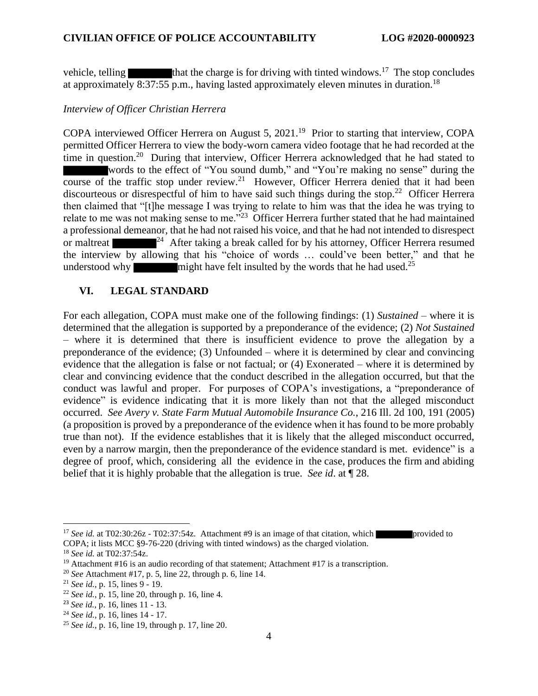vehicle, telling  $\blacksquare$  that the charge is for driving with tinted windows.<sup>17</sup> The stop concludes at approximately  $8:37:55$  p.m., having lasted approximately eleven minutes in duration.<sup>18</sup>

#### *Interview of Officer Christian Herrera*

COPA interviewed Officer Herrera on August 5, 2021.<sup>19</sup> Prior to starting that interview, COPA permitted Officer Herrera to view the body-worn camera video footage that he had recorded at the time in question.<sup>20</sup> During that interview, Officer Herrera acknowledged that he had stated to words to the effect of "You sound dumb," and "You're making no sense" during the course of the traffic stop under review.<sup>21</sup> However, Officer Herrera denied that it had been discourteous or disrespectful of him to have said such things during the stop.<sup>22</sup> Officer Herrera then claimed that "[t]he message I was trying to relate to him was that the idea he was trying to relate to me was not making sense to me."<sup>23</sup> Officer Herrera further stated that he had maintained a professional demeanor, that he had not raised his voice, and that he had not intended to disrespect or maltreat  $\mathbb{P}^2$ <sup>4</sup> After taking a break called for by his attorney, Officer Herrera resumed the interview by allowing that his "choice of words … could've been better," and that he understood why might have felt insulted by the words that he had used.<sup>25</sup>

### **VI. LEGAL STANDARD**

For each allegation, COPA must make one of the following findings: (1) *Sustained* – where it is determined that the allegation is supported by a preponderance of the evidence; (2) *Not Sustained* – where it is determined that there is insufficient evidence to prove the allegation by a preponderance of the evidence; (3) Unfounded – where it is determined by clear and convincing evidence that the allegation is false or not factual; or (4) Exonerated – where it is determined by clear and convincing evidence that the conduct described in the allegation occurred, but that the conduct was lawful and proper. For purposes of COPA's investigations, a "preponderance of evidence" is evidence indicating that it is more likely than not that the alleged misconduct occurred. *See Avery v. State Farm Mutual Automobile Insurance Co.*, 216 Ill. 2d 100, 191 (2005) (a proposition is proved by a preponderance of the evidence when it has found to be more probably true than not). If the evidence establishes that it is likely that the alleged misconduct occurred, even by a narrow margin, then the preponderance of the evidence standard is met. evidence" is a degree of proof, which, considering all the evidence in the case, produces the firm and abiding belief that it is highly probable that the allegation is true. *See id*. at ¶ 28.

<sup>&</sup>lt;sup>17</sup> See id. at T02:30:26z - T02:37:54z. Attachment #9 is an image of that citation, which provided to COPA; it lists MCC §9-76-220 (driving with tinted windows) as the charged violation.

<sup>18</sup> *See id.* at T02:37:54z.

<sup>&</sup>lt;sup>19</sup> Attachment #16 is an audio recording of that statement; Attachment #17 is a transcription.

<sup>20</sup> *See* Attachment #17, p. 5, line 22, through p. 6, line 14.

<sup>21</sup> *See id.*, p. 15, lines 9 - 19.

<sup>22</sup> *See id.*, p. 15, line 20, through p. 16, line 4.

<sup>23</sup> *See id.*, p. 16, lines 11 - 13.

<sup>24</sup> *See id.*, p. 16, lines 14 - 17.

<sup>25</sup> *See id.*, p. 16, line 19, through p. 17, line 20.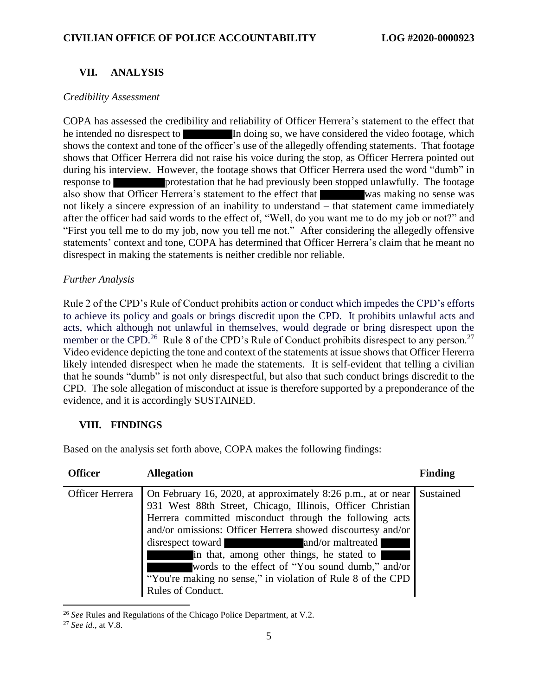## **VII. ANALYSIS**

### *Credibility Assessment*

COPA has assessed the credibility and reliability of Officer Herrera's statement to the effect that he intended no disrespect to In doing so, we have considered the video footage, which shows the context and tone of the officer's use of the allegedly offending statements. That footage shows that Officer Herrera did not raise his voice during the stop, as Officer Herrera pointed out during his interview. However, the footage shows that Officer Herrera used the word "dumb" in response to protestation that he had previously been stopped unlawfully. The footage also show that Officer Herrera's statement to the effect that was making no sense was not likely a sincere expression of an inability to understand – that statement came immediately after the officer had said words to the effect of, "Well, do you want me to do my job or not?" and "First you tell me to do my job, now you tell me not." After considering the allegedly offensive statements' context and tone, COPA has determined that Officer Herrera's claim that he meant no disrespect in making the statements is neither credible nor reliable.

### *Further Analysis*

Rule 2 of the CPD's Rule of Conduct prohibits action or conduct which impedes the CPD's efforts to achieve its policy and goals or brings discredit upon the CPD. It prohibits unlawful acts and acts, which although not unlawful in themselves, would degrade or bring disrespect upon the member or the CPD.<sup>26</sup> Rule 8 of the CPD's Rule of Conduct prohibits disrespect to any person.<sup>27</sup> Video evidence depicting the tone and context of the statements at issue shows that Officer Hererra likely intended disrespect when he made the statements. It is self-evident that telling a civilian that he sounds "dumb" is not only disrespectful, but also that such conduct brings discredit to the CPD. The sole allegation of misconduct at issue is therefore supported by a preponderance of the evidence, and it is accordingly SUSTAINED.

## **VIII. FINDINGS**

Based on the analysis set forth above, COPA makes the following findings:

| <b>Officer</b>  | <b>Allegation</b>                                                                                                                                                                                                                                                                                                                                                                                                                                                                                                                   | <b>Finding</b> |
|-----------------|-------------------------------------------------------------------------------------------------------------------------------------------------------------------------------------------------------------------------------------------------------------------------------------------------------------------------------------------------------------------------------------------------------------------------------------------------------------------------------------------------------------------------------------|----------------|
| Officer Herrera | On February 16, 2020, at approximately 8:26 p.m., at or near<br>931 West 88th Street, Chicago, Illinois, Officer Christian<br>Herrera committed misconduct through the following acts<br>and/or omissions: Officer Herrera showed discourtesy and/or<br>disrespect toward<br>and/or maltreated<br><u> Andrewski politika († 18. února 1871)</u><br>in that, among other things, he stated to<br>words to the effect of "You sound dumb," and/or<br>"You're making no sense," in violation of Rule 8 of the CPD<br>Rules of Conduct. | Sustained      |

<sup>26</sup> *See* Rules and Regulations of the Chicago Police Department, at V.2.

<sup>27</sup> *See id.*, at V.8.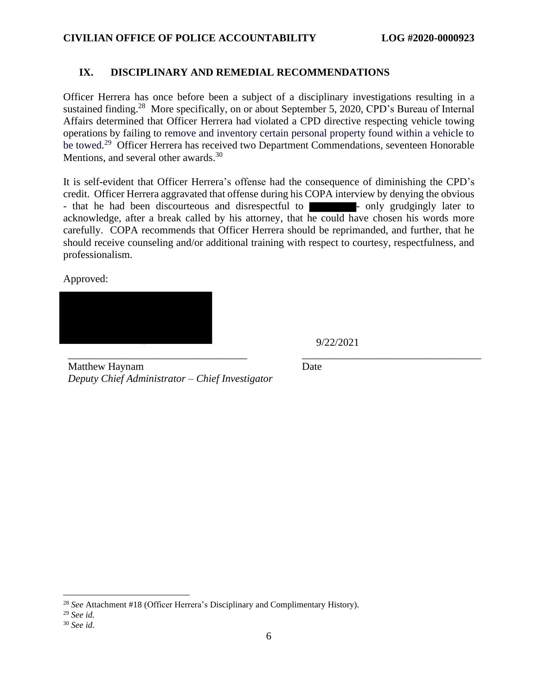### **IX. DISCIPLINARY AND REMEDIAL RECOMMENDATIONS**

Officer Herrera has once before been a subject of a disciplinary investigations resulting in a sustained finding.<sup>28</sup> More specifically, on or about September 5, 2020, CPD's Bureau of Internal Affairs determined that Officer Herrera had violated a CPD directive respecting vehicle towing operations by failing to remove and inventory certain personal property found within a vehicle to be towed.<sup>29</sup> Officer Herrera has received two Department Commendations, seventeen Honorable Mentions, and several other awards.<sup>30</sup>

It is self-evident that Officer Herrera's offense had the consequence of diminishing the CPD's credit. Officer Herrera aggravated that offense during his COPA interview by denying the obvious - that he had been discourteous and disrespectful to **-** only grudgingly later to acknowledge, after a break called by his attorney, that he could have chosen his words more carefully. COPA recommends that Officer Herrera should be reprimanded, and further, that he should receive counseling and/or additional training with respect to courtesy, respectfulness, and professionalism.

\_\_\_\_\_\_\_\_\_\_\_\_\_\_\_\_\_\_\_\_\_\_\_\_\_\_\_\_\_\_\_\_\_\_ \_\_\_\_\_\_\_\_\_\_\_\_\_\_\_\_\_\_\_\_\_\_\_\_\_\_\_\_\_\_\_\_\_\_

Approved:

9/22/2021

Matthew Haynam *Deputy Chief Administrator – Chief Investigator* Date

<sup>28</sup> *See* Attachment #18 (Officer Herrera's Disciplinary and Complimentary History).

<sup>29</sup> *See id.*

<sup>30</sup> *See id.*